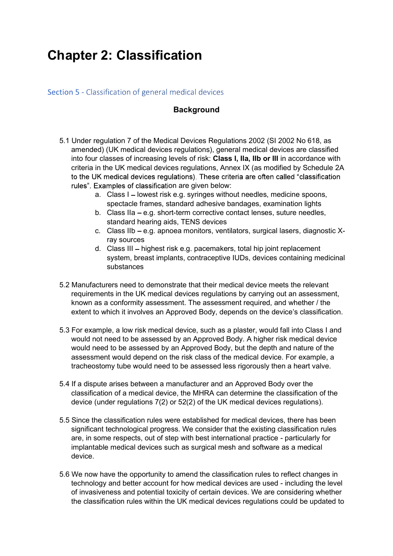## Chapter 2: Classification

Section 5 - Classification of general medical devices

## **Background**

- 5.1 Under regulation 7 of the Medical Devices Regulations 2002 (SI 2002 No 618, as amended) (UK medical devices regulations), general medical devices are classified into four classes of increasing levels of risk: Class I, IIa, IIb or III in accordance with criteria in the UK medical devices regulations, Annex IX (as modified by Schedule 2A to the UK medical devices regulations). These criteria are often called "classification rules". Examples of classification are given below:
	- a. Class I lowest risk e.g. syringes without needles, medicine spoons, spectacle frames, standard adhesive bandages, examination lights
	- b. Class IIa  $-$  e.g. short-term corrective contact lenses, suture needles, standard hearing aids, TENS devices
	- c. Class IIb e.g. apnoea monitors, ventilators, surgical lasers, diagnostic Xray sources
	- d. Class III highest risk e.g. pacemakers, total hip joint replacement system, breast implants, contraceptive IUDs, devices containing medicinal substances
- 5.2 Manufacturers need to demonstrate that their medical device meets the relevant requirements in the UK medical devices regulations by carrying out an assessment, known as a conformity assessment. The assessment required, and whether / the extent to which it involves an Approved Body, depends on the device's classification.
- 5.3 For example, a low risk medical device, such as a plaster, would fall into Class I and would not need to be assessed by an Approved Body. A higher risk medical device would need to be assessed by an Approved Body, but the depth and nature of the assessment would depend on the risk class of the medical device. For example, a tracheostomy tube would need to be assessed less rigorously then a heart valve.
- 5.4 If a dispute arises between a manufacturer and an Approved Body over the classification of a medical device, the MHRA can determine the classification of the device (under regulations 7(2) or 52(2) of the UK medical devices regulations).
- 5.5 Since the classification rules were established for medical devices, there has been significant technological progress. We consider that the existing classification rules are, in some respects, out of step with best international practice - particularly for implantable medical devices such as surgical mesh and software as a medical device.
- 5.6 We now have the opportunity to amend the classification rules to reflect changes in technology and better account for how medical devices are used - including the level of invasiveness and potential toxicity of certain devices. We are considering whether the classification rules within the UK medical devices regulations could be updated to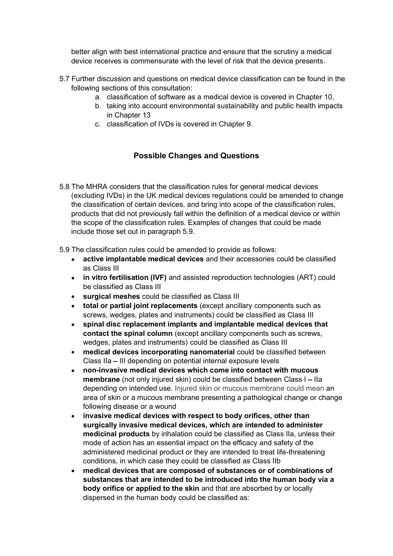device receives is commensurate with the level of risk that the device presents.

- better align with best international practice and ensure that the scrutiny a medical<br>device receives is commensurate with the level of risk that the device presents.<br>Further discussion and questions on medical device class 5.7 Further discussion and questions on medical device classification can be found in the following sections of this consultation:
	- a. classification of software as a medical device is covered in Chapter 10,
	- b. taking into account environmental sustainability and public health impacts in Chapter 13
	- c. classification of IVDs is covered in Chapter 9.

## Possible Changes and Questions

5.8 The MHRA considers that the classification rules for general medical devices (excluding IVDs) in the UK medical devices regulations could be amended to change the classification of certain devices, and bring into scope of the classification rules, products that did not previously fall within the definition of a medical device or within the scope of the classification rules. Examples of changes that could be made include those set out in paragraph 5.9.

5.9 The classification rules could be amended to provide as follows:

- active implantable medical devices and their accessories could be classified as Class III
- in vitro fertilisation (IVF) and assisted reproduction technologies (ART) could be classified as Class III
- surgical meshes could be classified as Class III
- $\bullet$ total or partial joint replacements (except ancillary components such as screws, wedges, plates and instruments) could be classified as Class III
- spinal disc replacement implants and implantable medical devices that  $\bullet$ contact the spinal column (except ancillary components such as screws, wedges, plates and instruments) could be classified as Class III
- medical devices incorporating nanomaterial could be classified between  $\bullet$ Class IIa - III depending on potential internal exposure levels
- non-invasive medical devices which come into contact with mucous  $\bullet$ membrane (not only injured skin) could be classified between Class I - Ila depending on intended use. Injured skin or mucous membrane could mean an area of skin or a mucous membrane presenting a pathological change or change following disease or a wound
- invasive medical devices with respect to body orifices, other than surgically invasive medical devices, which are intended to administer medicinal products by inhalation could be classified as Class IIa, unless their mode of action has an essential impact on the efficacy and safety of the administered medicinal product or they are intended to treat life-threatening conditions, in which case they could be classified as Class IIb
- medical devices that are composed of substances or of combinations of  $\bullet$ substances that are intended to be introduced into the human body via a body orifice or applied to the skin and that are absorbed by or locally dispersed in the human body could be classified as: